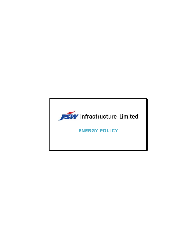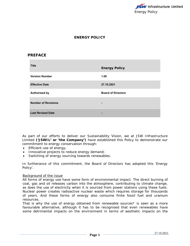

# **ENERGY POLICY**

# **PREFACE**

| <b>Title</b>               | <b>Energy Policy</b>      |
|----------------------------|---------------------------|
| <b>Version Number</b>      | 1.00                      |
| <b>Effective Date</b>      | 27.10.2021                |
| <b>Authorised by</b>       | <b>Board of Directors</b> |
| <b>Number of Revisions</b> |                           |
| <b>Last Revised Date</b>   | $\overline{\phantom{0}}$  |

As part of our efforts to deliver our Sustainability Vision, we at JSW Infrastructure Limited **('JSWIL' or 'the Company')** have established this Policy to demonstrate our commitment to energy conservation through:

- **Efficient use of energy;**
- Innovative projects to reduce energy demand;
- Switching of energy sourcing towards renewables.

In furtherance of this commitment, the Board of Directors has adopted this 'Energy Policy'.

## Background of the Issue

All forms of energy use have some form of environmental impact. The direct burning of coal, gas and oil releases carbon into the atmosphere, contributing to climate change, as does the use of electricity when it is sourced from power stations using these fuels. Nuclear power creates radioactive nuclear waste which requires storage for thousands of years. And these forms of energy also consume finite fossil fuel and uranium resources.

That is why the use of energy obtained from renewable sources\* is seen as a more favourable alternative, although it has to be recognised that even renewables have some detrimental impacts on the environment in terms of aesthetic impacts on the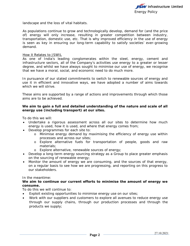landscape and the loss of vital habitats.

As populations continue to grow and technologically develop, demand for (and the price of) energy will only increase, resulting in greater competition between industry, transportation, domestic use, etc. That is why improved efficiency in the use of energy is seen as key in ensuring our long-term capability to satisfy societies' ever-growing demand.

#### How it Relates to JSWIL

As one of India's leading conglomerates within the steel, energy, cement and infrastructure sectors, all of the Company's activities use energy to a greater or lesser degree, and whilst we have always sought to minimise our use of energy, we recognise that we have a moral, social, and economic need to do much more.

In pursuance of our stated commitments to switch to renewable sources of energy and use it in efficient and innovative ways, we have adopted a number of aims towards which we will strive

These aims are supported by a range of actions and improvements through which those aims are to be achieved.

## **We aim to gain a full and detailed understanding of the nature and scale of all energy use (including transport) at our sites.**

To do this we will:

- Undertake a rigorous assessment across all our sites to determine how much energy is used, how it is used, and where that energy comes from;
- Develop programmes for each site to:
	- o Minimise energy demand by maximising the efficiency of energy use within processes and across our sites;
	- o Explore alternative fuels for transportation of people, goods and raw materials;
	- o Explore alternative, renewable sources of energy;
- Develop a long-term energy sourcing strategy as a Group to place greater emphasis on the sourcing of renewable energy;
- Monitor the amount of energy we are consuming, and the sources of that energy, on a regular basis to see how we are progressing, and reporting on this progress to our stakeholders.

#### In the meantime:

## **We aim to continue our current efforts to minimise the amount of energy we consume.**

To do this we will continue to:

- Exploit existing opportunities to minimise energy use on our sites;
- Work with our suppliers and customers to explore all avenues to reduce energy use through our supply chains, through our production processes and through the products we supply;